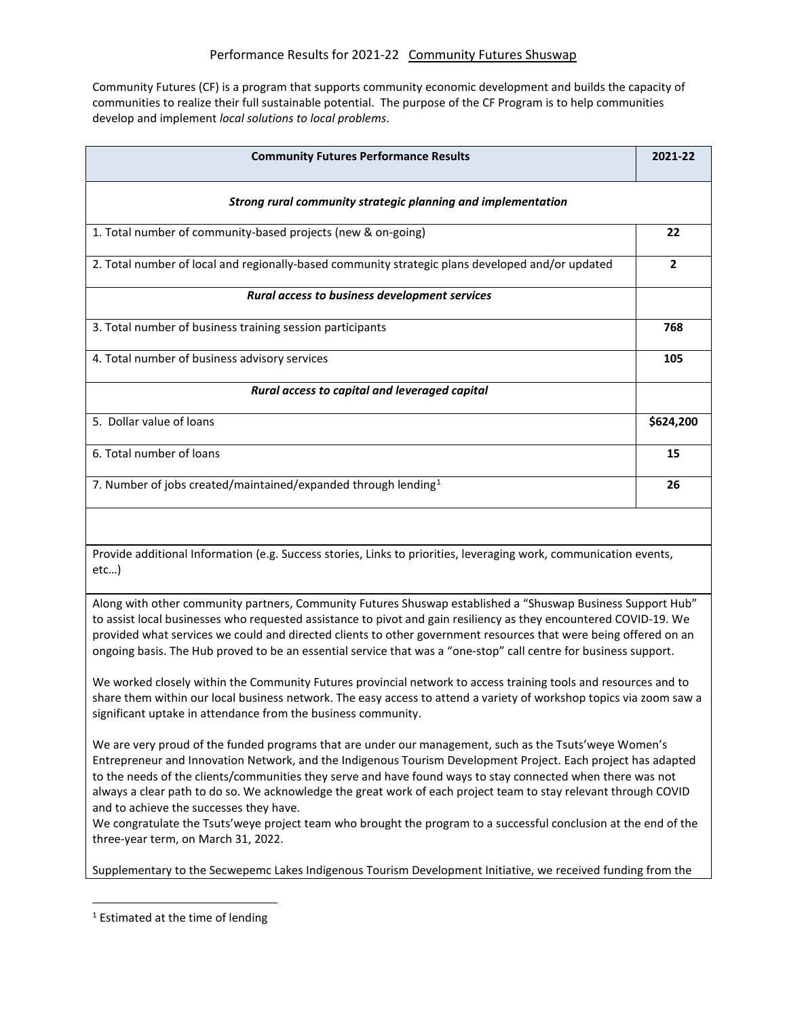Community Futures (CF) is a program that supports community economic development and builds the capacity of communities to realize their full sustainable potential. The purpose of the CF Program is to help communities develop and implement *local solutions to local problems*.

| <b>Community Futures Performance Results</b>                                                                                                                                                                                                                                                                                                                                                                                                                                                                                                                                                                             | 2021-22      |
|--------------------------------------------------------------------------------------------------------------------------------------------------------------------------------------------------------------------------------------------------------------------------------------------------------------------------------------------------------------------------------------------------------------------------------------------------------------------------------------------------------------------------------------------------------------------------------------------------------------------------|--------------|
| Strong rural community strategic planning and implementation                                                                                                                                                                                                                                                                                                                                                                                                                                                                                                                                                             |              |
| 1. Total number of community-based projects (new & on-going)                                                                                                                                                                                                                                                                                                                                                                                                                                                                                                                                                             | 22           |
| 2. Total number of local and regionally-based community strategic plans developed and/or updated                                                                                                                                                                                                                                                                                                                                                                                                                                                                                                                         | $\mathbf{2}$ |
| Rural access to business development services                                                                                                                                                                                                                                                                                                                                                                                                                                                                                                                                                                            |              |
| 3. Total number of business training session participants                                                                                                                                                                                                                                                                                                                                                                                                                                                                                                                                                                | 768          |
| 4. Total number of business advisory services                                                                                                                                                                                                                                                                                                                                                                                                                                                                                                                                                                            | 105          |
| Rural access to capital and leveraged capital                                                                                                                                                                                                                                                                                                                                                                                                                                                                                                                                                                            |              |
| 5. Dollar value of loans                                                                                                                                                                                                                                                                                                                                                                                                                                                                                                                                                                                                 | \$624,200    |
| 6. Total number of loans                                                                                                                                                                                                                                                                                                                                                                                                                                                                                                                                                                                                 | 15           |
| 7. Number of jobs created/maintained/expanded through lending <sup>1</sup>                                                                                                                                                                                                                                                                                                                                                                                                                                                                                                                                               | 26           |
|                                                                                                                                                                                                                                                                                                                                                                                                                                                                                                                                                                                                                          |              |
| Provide additional Information (e.g. Success stories, Links to priorities, leveraging work, communication events,<br>etc)                                                                                                                                                                                                                                                                                                                                                                                                                                                                                                |              |
| Along with other community partners, Community Futures Shuswap established a "Shuswap Business Support Hub"<br>to assist local businesses who requested assistance to pivot and gain resiliency as they encountered COVID-19. We<br>provided what services we could and directed clients to other government resources that were being offered on an<br>ongoing basis. The Hub proved to be an essential service that was a "one-stop" call centre for business support.<br>We worked closely within the Community Futures provincial network to access training tools and resources and to                              |              |
| share them within our local business network. The easy access to attend a variety of workshop topics via zoom saw a<br>significant uptake in attendance from the business community.                                                                                                                                                                                                                                                                                                                                                                                                                                     |              |
| We are very proud of the funded programs that are under our management, such as the Tsuts'weye Women's<br>Entrepreneur and Innovation Network, and the Indigenous Tourism Development Project. Each project has adapted<br>to the needs of the clients/communities they serve and have found ways to stay connected when there was not<br>always a clear path to do so. We acknowledge the great work of each project team to stay relevant through COVID<br>and to achieve the successes they have.<br>We congratulate the Tsuts'weye project team who brought the program to a successful conclusion at the end of the |              |
| three-year term, on March 31, 2022.<br>Supplementary to the Secwepemc Lakes Indigenous Tourism Development Initiative, we received funding from the                                                                                                                                                                                                                                                                                                                                                                                                                                                                      |              |

<span id="page-0-0"></span><sup>&</sup>lt;sup>1</sup> Estimated at the time of lending